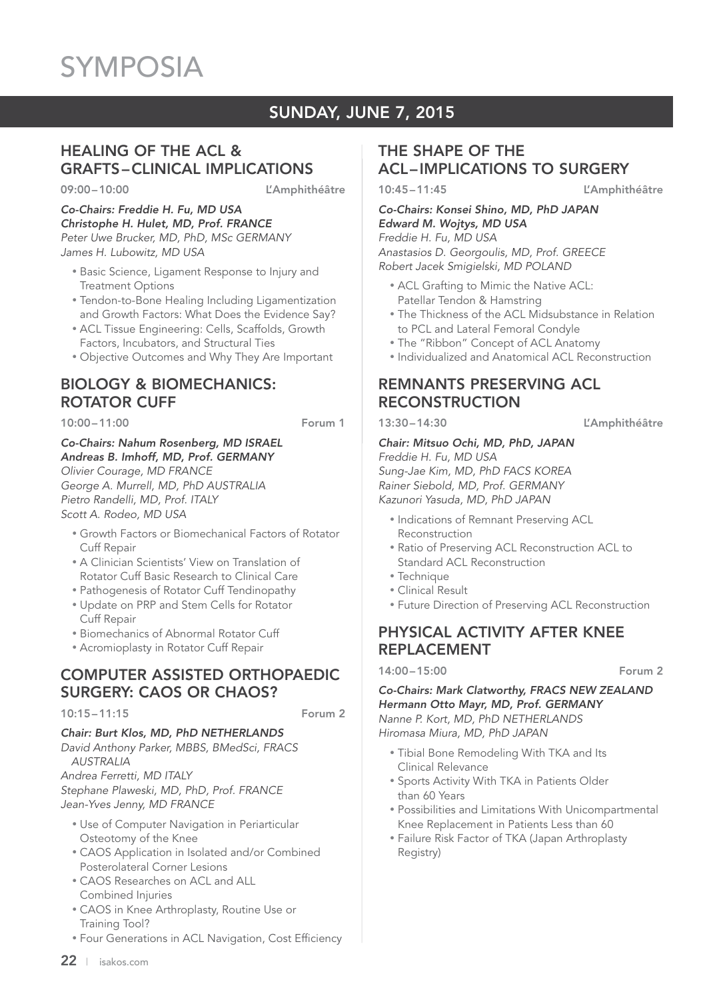# SUNDAY, JUNE 7, 2015

# HEALING OF THE ACL & GRAFTS – CLINICAL IMPLICATIONS

09:00-10:00 L'Amphithéâtre

#### *Co-Chairs: Freddie H. Fu, MD USA Christophe H. Hulet, MD, Prof. FRANCE Peter Uwe Brucker, MD, PhD, MSc GERMANY James H. Lubowitz, MD USA*

- Basic Science, Ligament Response to Injury and Treatment Options
- Tendon-to-Bone Healing Including Ligamentization and Growth Factors: What Does the Evidence Say?
- ACL Tissue Engineering: Cells, Scaffolds, Growth Factors, Incubators, and Structural Ties
- Objective Outcomes and Why They Are Important

# BIOLOGY & BIOMECHANICS: ROTATOR CUFF

10:00 – 11:00 Forum 1

*Co-Chairs: Nahum Rosenberg, MD ISRAEL Andreas B. Imhoff, MD, Prof. GERMANY Olivier Courage, MD FRANCE*

*George A. Murrell, MD, PhD AUSTRALIA Pietro Randelli, MD, Prof. ITALY Scott A. Rodeo, MD USA*

- Growth Factors or Biomechanical Factors of Rotator Cuff Repair
- A Clinician Scientists' View on Translation of Rotator Cuff Basic Research to Clinical Care
- Pathogenesis of Rotator Cuff Tendinopathy
- Update on PRP and Stem Cells for Rotator Cuff Repair
- Biomechanics of Abnormal Rotator Cuff
- Acromioplasty in Rotator Cuff Repair

# COMPUTER ASSISTED ORTHOPAEDIC SURGERY: CAOS OR CHAOS?

#### 10:15 – 11:15 Forum 2

### *Chair: Burt Klos, MD, PhD NETHERLANDS*

*David Anthony Parker, MBBS, BMedSci, FRACS AUSTRALIA Andrea Ferretti, MD ITALY Stephane Plaweski, MD, PhD, Prof. FRANCE*

*Jean-Yves Jenny, MD FRANCE*

- Use of Computer Navigation in Periarticular Osteotomy of the Knee
- CAOS Application in Isolated and/or Combined Posterolateral Corner Lesions
- CAOS Researches on ACL and ALL Combined Injuries
- CAOS in Knee Arthroplasty, Routine Use or Training Tool?
- Four Generations in ACL Navigation, Cost Efficiency

# THE SHAPE OF THE ACL – IMPLICATIONS TO SURGERY

10:45 – 11:45 L'Amphithéâtre

*Co-Chairs: Konsei Shino, MD, PhD JAPAN Edward M. Wojtys, MD USA Freddie H. Fu, MD USA*

*Anastasios D. Georgoulis, MD, Prof. GREECE Robert Jacek Smigielski, MD POLAND*

- ACL Grafting to Mimic the Native ACL: Patellar Tendon & Hamstring
- The Thickness of the ACL Midsubstance in Relation to PCL and Lateral Femoral Condyle
- The "Ribbon" Concept of ACL Anatomy
- Individualized and Anatomical ACL Reconstruction

# REMNANTS PRESERVING ACL **RECONSTRUCTION**

13:30 – 14:30 L'Amphithéâtre

#### *Chair: Mitsuo Ochi, MD, PhD, JAPAN Freddie H. Fu, MD USA*

*Sung-Jae Kim, MD, PhD FACS KOREA Rainer Siebold, MD, Prof. GERMANY Kazunori Yasuda, MD, PhD JAPAN*

- Indications of Remnant Preserving ACL Reconstruction
- Ratio of Preserving ACL Reconstruction ACL to Standard ACL Reconstruction
- Technique
- Clinical Result
- Future Direction of Preserving ACL Reconstruction

# PHYSICAL ACTIVITY AFTER KNEE REPLACEMENT

14:00 – 15:00 Forum 2

*Co-Chairs: Mark Clatworthy, FRACS NEW ZEALAND Hermann Otto Mayr, MD, Prof. GERMANY Nanne P. Kort, MD, PhD NETHERLANDS Hiromasa Miura, MD, PhD JAPAN*

- Tibial Bone Remodeling With TKA and Its Clinical Relevance
- Sports Activity With TKA in Patients Older than 60 Years
- Possibilities and Limitations With Unicompartmental Knee Replacement in Patients Less than 60
- Failure Risk Factor of TKA (Japan Arthroplasty Registry)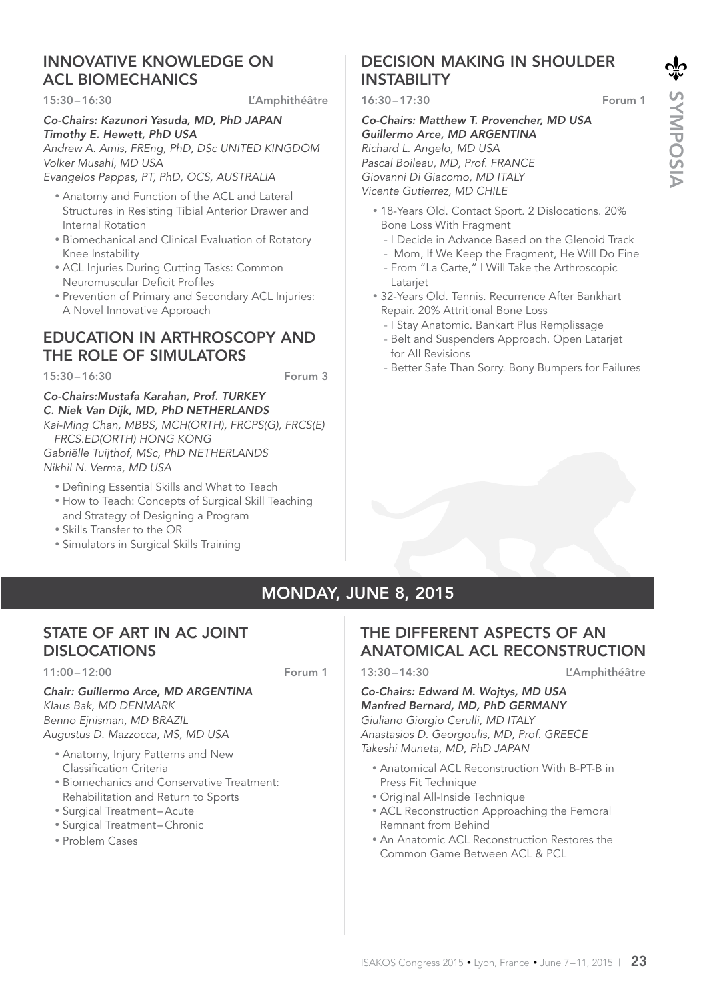# INNOVATIVE KNOWLEDGE ON ACL BIOMECHANICS

#### 15:30 – 16:30 L'Amphithéâtre

#### *Co-Chairs: Kazunori Yasuda, MD, PhD JAPAN Timothy E. Hewett, PhD USA*

*Andrew A. Amis, FREng, PhD, DSc UNITED KINGDOM Volker Musahl, MD USA*

*Evangelos Pappas, PT, PhD, OCS, AUSTRALIA*

- Anatomy and Function of the ACL and Lateral Structures in Resisting Tibial Anterior Drawer and Internal Rotation
- Biomechanical and Clinical Evaluation of Rotatory Knee Instability
- ACL Injuries During Cutting Tasks: Common Neuromuscular Deficit Profiles
- Prevention of Primary and Secondary ACL Injuries: A Novel Innovative Approach

# EDUCATION IN ARTHROSCOPY AND THE ROLE OF SIMULATORS

15:30 – 16:30 Forum 3

#### *Co-Chairs:Mustafa Karahan, Prof. TURKEY C. Niek Van Dijk, MD, PhD NETHERLANDS Kai-Ming Chan, MBBS, MCH(ORTH), FRCPS(G), FRCS(E) FRCS.ED(ORTH) HONG KONG Gabriëlle Tuijthof, MSc, PhD NETHERLANDS*

*Nikhil N. Verma, MD USA*

- Defining Essential Skills and What to Teach
- How to Teach: Concepts of Surgical Skill Teaching and Strategy of Designing a Program
- Skills Transfer to the OR
- Simulators in Surgical Skills Training

# DECISION MAKING IN SHOULDER **INSTABILITY**

16:30 – 17:30 Forum 1

#### *Co-Chairs: Matthew T. Provencher, MD USA Guillermo Arce, MD ARGENTINA Richard L. Angelo, MD USA Pascal Boileau, MD, Prof. FRANCE Giovanni Di Giacomo, MD ITALY Vicente Gutierrez, MD CHILE*

- 18-Years Old. Contact Sport. 2 Dislocations. 20% Bone Loss With Fragment
	- I Decide in Advance Based on the Glenoid Track
	- Mom, If We Keep the Fragment, He Will Do Fine
	- From "La Carte," I Will Take the Arthroscopic Latariet
- 32-Years Old. Tennis. Recurrence After Bankhart Repair. 20% Attritional Bone Loss
	- I Stay Anatomic. Bankart Plus Remplissage
	- Belt and Suspenders Approach. Open Latarjet for All Revisions
	- Better Safe Than Sorry. Bony Bumpers for Failures

# MONDAY, JUNE 8, 2015

# STATE OF ART IN AC JOINT DISLOCATIONS

11:00 – 12:00 Forum 1

#### *Chair: Guillermo Arce, MD ARGENTINA Klaus Bak, MD DENMARK Benno Ejnisman, MD BRAZIL Augustus D. Mazzocca, MS, MD USA*

- Anatomy, Injury Patterns and New
	- Classification Criteria
- Biomechanics and Conservative Treatment: Rehabilitation and Return to Sports
- Surgical Treatment Acute
- Surgical Treatment Chronic
- Problem Cases

# THE DIFFERENT ASPECTS OF AN ANATOMICAL ACL RECONSTRUCTION

13:30 – 14:30 L'Amphithéâtre

*Co-Chairs: Edward M. Wojtys, MD USA Manfred Bernard, MD, PhD GERMANY Giuliano Giorgio Cerulli, MD ITALY Anastasios D. Georgoulis, MD, Prof. GREECE Takeshi Muneta, MD, PhD JAPAN*

- Anatomical ACL Reconstruction With B-PT-B in Press Fit Technique
- Original All-Inside Technique
- ACL Reconstruction Approaching the Femoral Remnant from Behind
- An Anatomic ACL Reconstruction Restores the Common Game Between ACL & PCL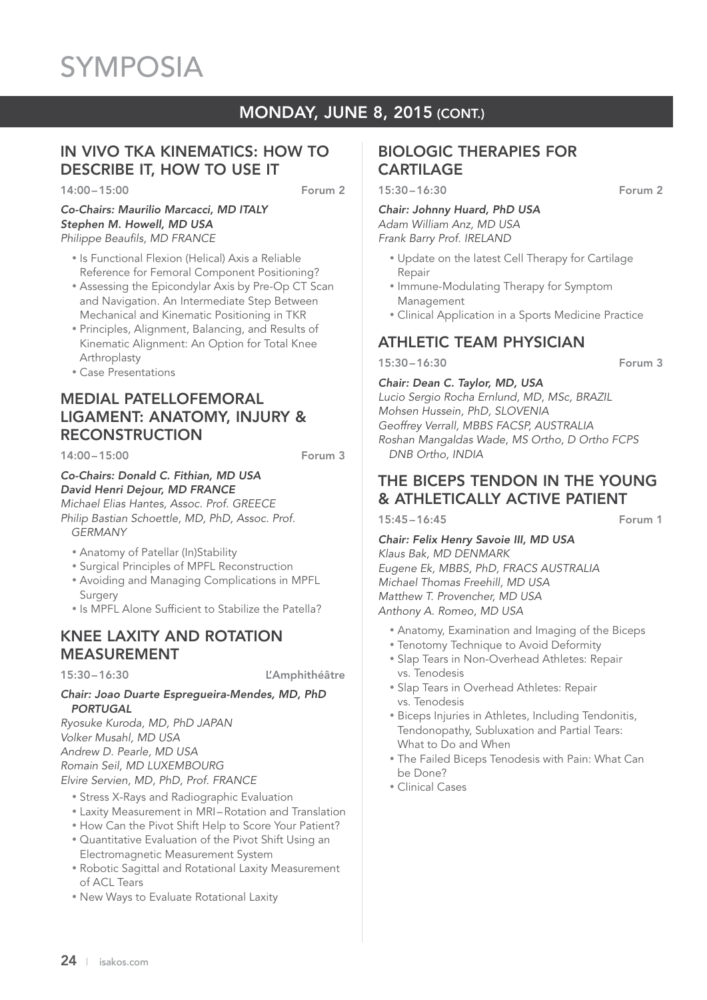# MONDAY, JUNE 8, 2015 (CONT.)

# IN VIVO TKA KINEMATICS: HOW TO DESCRIBE IT, HOW TO USE IT

14:00 – 15:00 **Forum 2** 

*Co-Chairs: Maurilio Marcacci, MD ITALY Stephen M. Howell, MD USA Philippe Beaufils, MD FRANCE*

- Is Functional Flexion (Helical) Axis a Reliable Reference for Femoral Component Positioning?
- Assessing the Epicondylar Axis by Pre-Op CT Scan and Navigation. An Intermediate Step Between Mechanical and Kinematic Positioning in TKR
- Principles, Alignment, Balancing, and Results of Kinematic Alignment: An Option for Total Knee Arthroplasty
- Case Presentations

# MEDIAL PATELLOFEMORAL LIGAMENT: ANATOMY, INJURY & **RECONSTRUCTION**

 $14:00 - 15:00$  Forum 3

#### *Co-Chairs: Donald C. Fithian, MD USA David Henri Dejour, MD FRANCE*

*Michael Elias Hantes, Assoc. Prof. GREECE Philip Bastian Schoettle, MD, PhD, Assoc. Prof. GERMANY*

- Anatomy of Patellar (In)Stability
- Surgical Principles of MPFL Reconstruction
- Avoiding and Managing Complications in MPFL Surgery
- Is MPFL Alone Sufficient to Stabilize the Patella?

# KNEE LAXITY AND ROTATION MEASUREMENT

15:30 – 16:30 L'Amphithéâtre

#### *Chair: Joao Duarte Espregueira-Mendes, MD, PhD PORTUGAL*

*Ryosuke Kuroda, MD, PhD JAPAN Volker Musahl, MD USA Andrew D. Pearle, MD USA Romain Seil, MD LUXEMBOURG Elvire Servien, MD, PhD, Prof. FRANCE*

- Stress X-Rays and Radiographic Evaluation
- Laxity Measurement in MRI Rotation and Translation
- How Can the Pivot Shift Help to Score Your Patient?
- Quantitative Evaluation of the Pivot Shift Using an Electromagnetic Measurement System
- Robotic Sagittal and Rotational Laxity Measurement of ACL Tears
- New Ways to Evaluate Rotational Laxity

# BIOLOGIC THERAPIES FOR CARTILAGE

15:30 – 16:30 Forum 2

#### *Chair: Johnny Huard, PhD USA Adam William Anz, MD USA Frank Barry Prof. IRELAND*

- Update on the latest Cell Therapy for Cartilage Repair
- Immune-Modulating Therapy for Symptom Management
- Clinical Application in a Sports Medicine Practice

# ATHLETIC TEAM PHYSICIAN

15:30 – 16:30 Forum 3

*Chair: Dean C. Taylor, MD, USA*

*Lucio Sergio Rocha Ernlund, MD, MSc, BRAZIL Mohsen Hussein, PhD, SLOVENIA Geoffrey Verrall, MBBS FACSP, AUSTRALIA Roshan Mangaldas Wade, MS Ortho, D Ortho FCPS DNB Ortho, INDIA*

# THE BICEPS TENDON IN THE YOUNG & ATHLETICALLY ACTIVE PATIENT

15:45 – 16:45 Forum 1

*Chair: Felix Henry Savoie III, MD USA Klaus Bak, MD DENMARK Eugene Ek, MBBS, PhD, FRACS AUSTRALIA Michael Thomas Freehill, MD USA Matthew T. Provencher, MD USA Anthony A. Romeo, MD USA*

- Anatomy, Examination and Imaging of the Biceps
- Tenotomy Technique to Avoid Deformity
- Slap Tears in Non-Overhead Athletes: Repair vs. Tenodesis
- Slap Tears in Overhead Athletes: Repair vs. Tenodesis
- Biceps Injuries in Athletes, Including Tendonitis, Tendonopathy, Subluxation and Partial Tears: What to Do and When
- The Failed Biceps Tenodesis with Pain: What Can be Done?
- Clinical Cases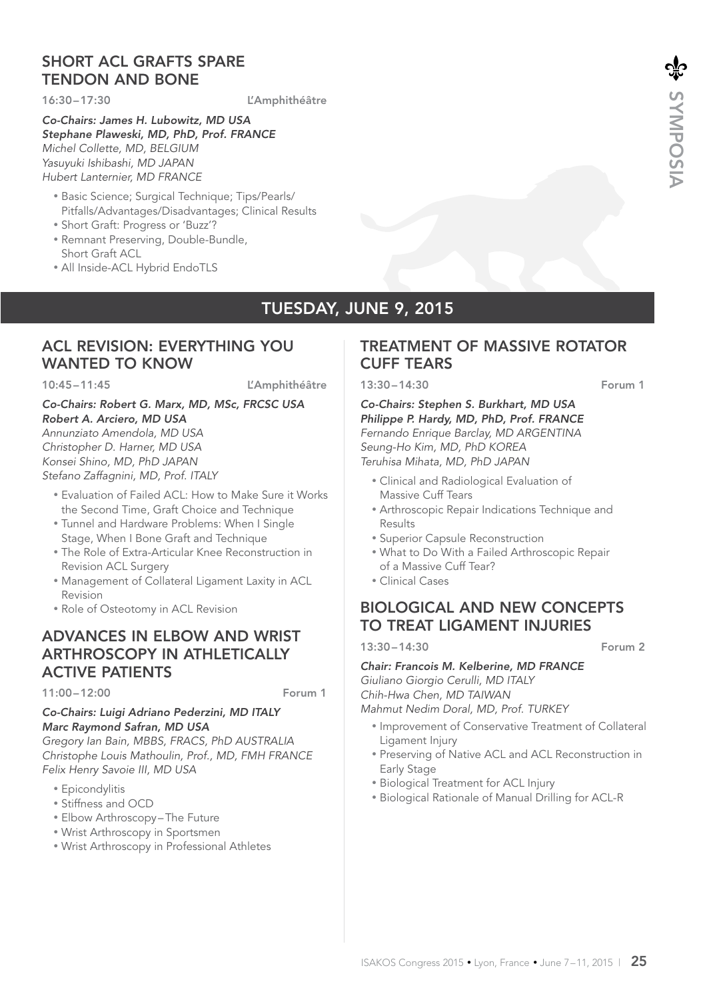# SHORT ACL GRAFTS SPARE TENDON AND BONE

16:30 – 17:30 L'Amphithéâtre

*Co-Chairs: James H. Lubowitz, MD USA Stephane Plaweski, MD, PhD, Prof. FRANCE Michel Collette, MD, BELGIUM Yasuyuki Ishibashi, MD JAPAN Hubert Lanternier, MD FRANCE*

- Basic Science; Surgical Technique; Tips/Pearls/ Pitfalls/Advantages/Disadvantages; Clinical Results
- Short Graft: Progress or 'Buzz'?
- Remnant Preserving, Double-Bundle, Short Graft ACL
- All Inside-ACL Hybrid EndoTLS

# TUESDAY, JUNE 9, 2015

# ACL REVISION: EVERYTHING YOU WANTED TO KNOW

10:45-11:45 L'Amphithéâtre

### *Co-Chairs: Robert G. Marx, MD, MSc, FRCSC USA Robert A. Arciero, MD USA*

*Annunziato Amendola, MD USA Christopher D. Harner, MD USA Konsei Shino, MD, PhD JAPAN Stefano Zaffagnini, MD, Prof. ITALY*

- Evaluation of Failed ACL: How to Make Sure it Works the Second Time, Graft Choice and Technique
- Tunnel and Hardware Problems: When I Single Stage, When I Bone Graft and Technique
- The Role of Extra-Articular Knee Reconstruction in Revision ACL Surgery
- Management of Collateral Ligament Laxity in ACL Revision
- Role of Osteotomy in ACL Revision

# ADVANCES IN ELBOW AND WRIST ARTHROSCOPY IN ATHLETICALLY ACTIVE PATIENTS

11:00 – 12:00 Forum 1

#### *Co-Chairs: Luigi Adriano Pederzini, MD ITALY Marc Raymond Safran, MD USA*

*Gregory Ian Bain, MBBS, FRACS, PhD AUSTRALIA Christophe Louis Mathoulin, Prof., MD, FMH FRANCE Felix Henry Savoie III, MD USA*

- Epicondylitis
- Stiffness and OCD
- Elbow Arthroscopy The Future
- Wrist Arthroscopy in Sportsmen
- Wrist Arthroscopy in Professional Athletes

# TREATMENT OF MASSIVE ROTATOR CUFF TEARS

13:30 – 14:30 Forum 1

*Co-Chairs: Stephen S. Burkhart, MD USA Philippe P. Hardy, MD, PhD, Prof. FRANCE Fernando Enrique Barclay, MD ARGENTINA Seung-Ho Kim, MD, PhD KOREA Teruhisa Mihata, MD, PhD JAPAN*

- Clinical and Radiological Evaluation of Massive Cuff Tears
- Arthroscopic Repair Indications Technique and Results
- Superior Capsule Reconstruction
- What to Do With a Failed Arthroscopic Repair of a Massive Cuff Tear?
- Clinical Cases

# BIOLOGICAL AND NEW CONCEPTS TO TREAT LIGAMENT INJURIES

13:30 – 14:30 Forum 2

*Chair: Francois M. Kelberine, MD FRANCE Giuliano Giorgio Cerulli, MD ITALY Chih-Hwa Chen, MD TAIWAN*

*Mahmut Nedim Doral, MD, Prof. TURKEY*

- Improvement of Conservative Treatment of Collateral Ligament Injury
- Preserving of Native ACL and ACL Reconstruction in Early Stage
- Biological Treatment for ACL Injury
- Biological Rationale of Manual Drilling for ACL-R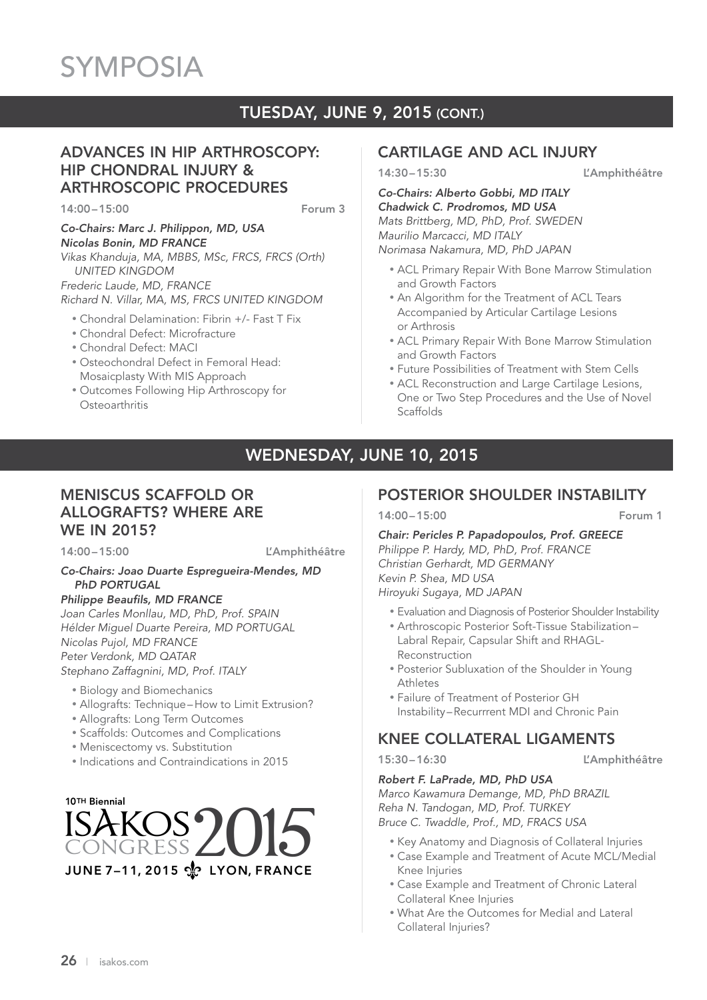# TUESDAY, JUNE 9, 2015 (CONT.)

# ADVANCES IN HIP ARTHROSCOPY: HIP CHONDRAL INJURY & ARTHROSCOPIC PROCEDURES

14:00 – 15:00 Forum 3

*Co-Chairs: Marc J. Philippon, MD, USA Nicolas Bonin, MD FRANCE Vikas Khanduja, MA, MBBS, MSc, FRCS, FRCS (Orth)* 

 *UNITED KINGDOM Frederic Laude, MD, FRANCE*

*Richard N. Villar, MA, MS, FRCS UNITED KINGDOM*

- Chondral Delamination: Fibrin +/- Fast T Fix
- Chondral Defect: Microfracture
- Chondral Defect: MACI
- Osteochondral Defect in Femoral Head: Mosaicplasty With MIS Approach
- Outcomes Following Hip Arthroscopy for **Osteoarthritis**

# CARTILAGE AND ACL INJURY

14:30 – 15:30 L'Amphithéâtre

*Co-Chairs: Alberto Gobbi, MD ITALY Chadwick C. Prodromos, MD USA Mats Brittberg, MD, PhD, Prof. SWEDEN Maurilio Marcacci, MD ITALY Norimasa Nakamura, MD, PhD JAPAN*

- ACL Primary Repair With Bone Marrow Stimulation and Growth Factors
- An Algorithm for the Treatment of ACL Tears Accompanied by Articular Cartilage Lesions or Arthrosis
- ACL Primary Repair With Bone Marrow Stimulation and Growth Factors
- Future Possibilities of Treatment with Stem Cells
- ACL Reconstruction and Large Cartilage Lesions, One or Two Step Procedures and the Use of Novel Scaffolds

# WEDNESDAY, JUNE 10, 2015

# MENISCUS SCAFFOLD OR ALLOGRAFTS? WHERE ARE WE IN 2015?

14:00-15:00 L'Amphithéâtre

#### *Co-Chairs: Joao Duarte Espregueira-Mendes, MD PhD PORTUGAL*

*Philippe Beaufils, MD FRANCE*

*Joan Carles Monllau, MD, PhD, Prof. SPAIN Hélder Miguel Duarte Pereira, MD PORTUGAL Nicolas Pujol, MD FRANCE Peter Verdonk, MD QATAR Stephano Zaffagnini, MD, Prof. ITALY*

- Biology and Biomechanics
- Allografts: Technique How to Limit Extrusion?
- Allografts: Long Term Outcomes
- Scaffolds: Outcomes and Complications
- Meniscectomy vs. Substitution
- Indications and Contraindications in 2015



# POSTERIOR SHOULDER INSTABILITY

14:00 – 15:00 Forum 1

*Chair: Pericles P. Papadopoulos, Prof. GREECE Philippe P. Hardy, MD, PhD, Prof. FRANCE Christian Gerhardt, MD GERMANY Kevin P. Shea, MD USA Hiroyuki Sugaya, MD JAPAN*

- Evaluation and Diagnosis of Posterior Shoulder Instability
- Arthroscopic Posterior Soft-Tissue Stabilization Labral Repair, Capsular Shift and RHAGL-Reconstruction
- Posterior Subluxation of the Shoulder in Young Athletes
- Failure of Treatment of Posterior GH Instability – Recurrrent MDI and Chronic Pain

# KNEE COLLATERAL LIGAMENTS

15:30 – 16:30 L'Amphithéâtre

#### *Robert F. LaPrade, MD, PhD USA*

*Marco Kawamura Demange, MD, PhD BRAZIL Reha N. Tandogan, MD, Prof. TURKEY Bruce C. Twaddle, Prof., MD, FRACS USA*

- Key Anatomy and Diagnosis of Collateral Injuries
- Case Example and Treatment of Acute MCL/Medial Knee Injuries
- Case Example and Treatment of Chronic Lateral Collateral Knee Injuries
- What Are the Outcomes for Medial and Lateral Collateral Injuries?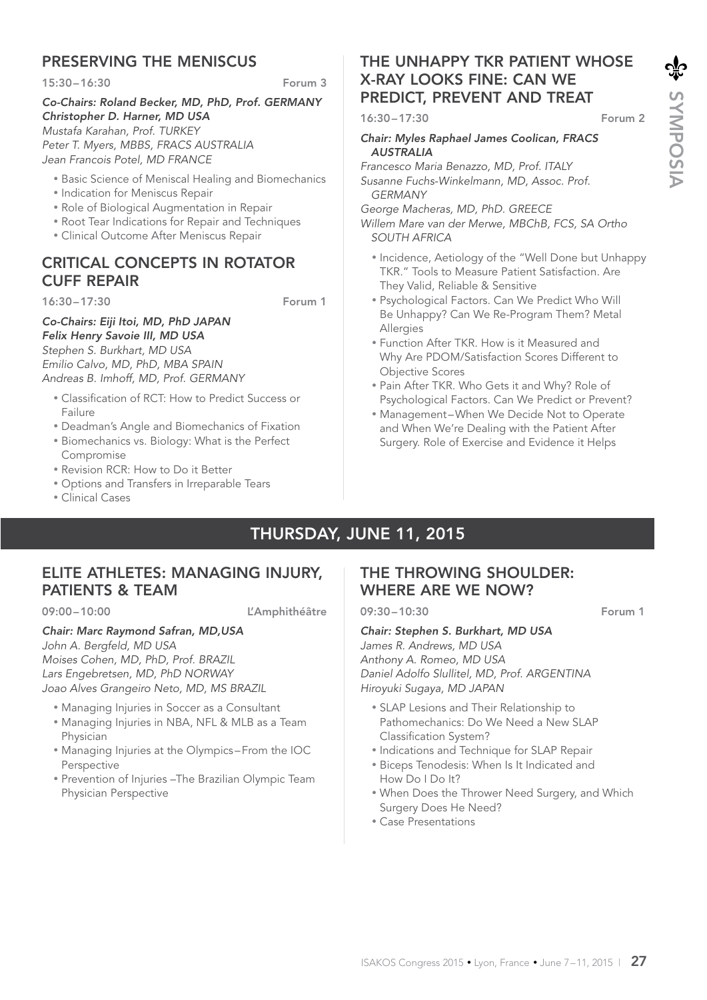# PRESERVING THE MENISCUS

15:30 – 16:30 Forum 3

#### *Co-Chairs: Roland Becker, MD, PhD, Prof. GERMANY Christopher D. Harner, MD USA Mustafa Karahan, Prof. TURKEY Peter T. Myers, MBBS, FRACS AUSTRALIA Jean Francois Potel, MD FRANCE*

- Basic Science of Meniscal Healing and Biomechanics
- Indication for Meniscus Repair
- Role of Biological Augmentation in Repair
- Root Tear Indications for Repair and Techniques
- Clinical Outcome After Meniscus Repair

# CRITICAL CONCEPTS IN ROTATOR CUFF REPAIR

16:30 – 17:30 Forum 1

# *Co-Chairs: Eiji Itoi, MD, PhD JAPAN*

*Felix Henry Savoie III, MD USA Stephen S. Burkhart, MD USA Emilio Calvo, MD, PhD, MBA SPAIN Andreas B. Imhoff, MD, Prof. GERMANY*

- Classification of RCT: How to Predict Success or Failure
- Deadman's Angle and Biomechanics of Fixation
- Biomechanics vs. Biology: What is the Perfect Compromise
- Revision RCR: How to Do it Better
- Options and Transfers in Irreparable Tears
- Clinical Cases

# THE UNHAPPY TKR PATIENT WHOSE X-RAY LOOKS FINE: CAN WE PREDICT, PREVENT AND TREAT

16:30 – 17:30 Forum 2

#### *Chair: Myles Raphael James Coolican, FRACS AUSTRALIA*

*Francesco Maria Benazzo, MD, Prof. ITALY Susanne Fuchs-Winkelmann, MD, Assoc. Prof. GERMANY*

*George Macheras, MD, PhD. GREECE*

*Willem Mare van der Merwe, MBChB, FCS, SA Ortho SOUTH AFRICA*

- Incidence, Aetiology of the "Well Done but Unhappy TKR." Tools to Measure Patient Satisfaction. Are They Valid, Reliable & Sensitive
- Psychological Factors. Can We Predict Who Will Be Unhappy? Can We Re-Program Them? Metal Allergies
- Function After TKR. How is it Measured and Why Are PDOM/Satisfaction Scores Different to Objective Scores
- Pain After TKR. Who Gets it and Why? Role of Psychological Factors. Can We Predict or Prevent?
- Management When We Decide Not to Operate and When We're Dealing with the Patient After Surgery. Role of Exercise and Evidence it Helps

# THURSDAY, JUNE 11, 2015

# ELITE ATHLETES: MANAGING INJURY, PATIENTS & TEAM

09:00-10:00 L'Amphithéâtre

#### *Chair: Marc Raymond Safran, MD,USA*

*John A. Bergfeld, MD USA Moises Cohen, MD, PhD, Prof. BRAZIL Lars Engebretsen, MD, PhD NORWAY Joao Alves Grangeiro Neto, MD, MS BRAZIL*

- Managing Injuries in Soccer as a Consultant
- Managing Injuries in NBA, NFL & MLB as a Team Physician
- Managing Injuries at the Olympics From the IOC Perspective
- Prevention of Injuries –The Brazilian Olympic Team Physician Perspective

# THE THROWING SHOULDER: WHERE ARE WE NOW?

09:30 – 10:30 Forum 1

#### *Chair: Stephen S. Burkhart, MD USA*

*James R. Andrews, MD USA Anthony A. Romeo, MD USA Daniel Adolfo Slullitel, MD, Prof. ARGENTINA Hiroyuki Sugaya, MD JAPAN*

- SLAP Lesions and Their Relationship to Pathomechanics: Do We Need a New SLAP Classification System?
- Indications and Technique for SLAP Repair
- Biceps Tenodesis: When Is It Indicated and How Do I Do It?
- When Does the Thrower Need Surgery, and Which Surgery Does He Need?
- Case Presentations